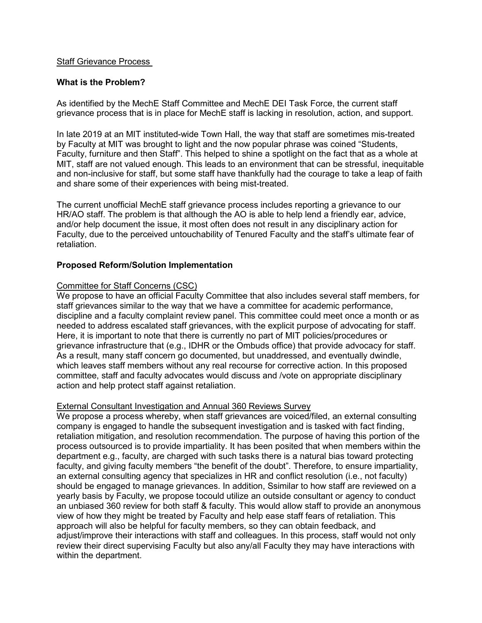#### Staff Grievance Process

## **What is the Problem?**

As identified by the MechE Staff Committee and MechE DEI Task Force, the current staff grievance process that is in place for MechE staff is lacking in resolution, action, and support.

In late 2019 at an MIT instituted-wide Town Hall, the way that staff are sometimes mis-treated by Faculty at MIT was brought to light and the now popular phrase was coined "Students, Faculty, furniture and then Staff". This helped to shine a spotlight on the fact that as a whole at MIT, staff are not valued enough. This leads to an environment that can be stressful, inequitable and non-inclusive for staff, but some staff have thankfully had the courage to take a leap of faith and share some of their experiences with being mist-treated.

The current unofficial MechE staff grievance process includes reporting a grievance to our HR/AO staff. The problem is that although the AO is able to help lend a friendly ear, advice, and/or help document the issue, it most often does not result in any disciplinary action for Faculty, due to the perceived untouchability of Tenured Faculty and the staff's ultimate fear of retaliation.

## **Proposed Reform/Solution Implementation**

## Committee for Staff Concerns (CSC)

We propose to have an official Faculty Committee that also includes several staff members, for staff grievances similar to the way that we have a committee for academic performance, discipline and a faculty complaint review panel. This committee could meet once a month or as needed to address escalated staff grievances, with the explicit purpose of advocating for staff. Here, it is important to note that there is currently no part of MIT policies/procedures or grievance infrastructure that (e.g., IDHR or the Ombuds office) that provide advocacy for staff. As a result, many staff concern go documented, but unaddressed, and eventually dwindle, which leaves staff members without any real recourse for corrective action. In this proposed committee, staff and faculty advocates would discuss and /vote on appropriate disciplinary action and help protect staff against retaliation.

#### External Consultant Investigation and Annual 360 Reviews Survey

We propose a process whereby, when staff grievances are voiced/filed, an external consulting company is engaged to handle the subsequent investigation and is tasked with fact finding, retaliation mitigation, and resolution recommendation. The purpose of having this portion of the process outsourced is to provide impartiality. It has been posited that when members within the department e.g., faculty, are charged with such tasks there is a natural bias toward protecting faculty, and giving faculty members "the benefit of the doubt". Therefore, to ensure impartiality, an external consulting agency that specializes in HR and conflict resolution (i.e., not faculty) should be engaged to manage grievances. In addition, Ssimilar to how staff are reviewed on a yearly basis by Faculty, we propose tocould utilize an outside consultant or agency to conduct an unbiased 360 review for both staff & faculty. This would allow staff to provide an anonymous view of how they might be treated by Faculty and help ease staff fears of retaliation. This approach will also be helpful for faculty members, so they can obtain feedback, and adjust/improve their interactions with staff and colleagues. In this process, staff would not only review their direct supervising Faculty but also any/all Faculty they may have interactions with within the department.